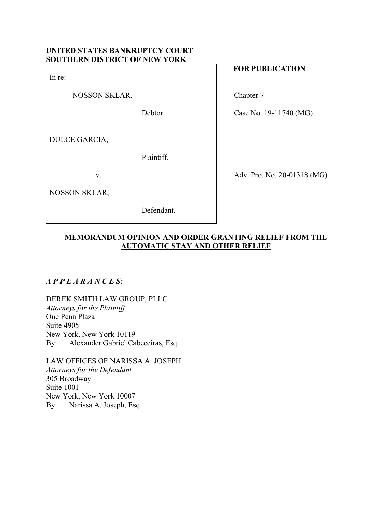# **UNITED STATES BANKRUPTCY COURT SOUTHERN DISTRICT OF NEW YORK**

In re:

NOSSON SKLAR,

Debtor.

DULCE GARCIA,

Plaintiff,

v.

NOSSON SKLAR,

Defendant.

# **FOR PUBLICATION**

Chapter 7

Case No. 19-11740 (MG)

Adv. Pro. No. 20-01318 (MG)

# **MEMORANDUM OPINION AND ORDER GRANTING RELIEF FROM THE AUTOMATIC STAY AND OTHER RELIEF**

## *A P P E A R A N C E S:*

DEREK SMITH LAW GROUP, PLLC *Attorneys for the Plaintiff* One Penn Plaza Suite 4905 New York, New York 10119 By: Alexander Gabriel Cabeceiras, Esq.

LAW OFFICES OF NARISSA A. JOSEPH *Attorneys for the Defendant* 305 Broadway Suite 1001 New York, New York 10007 By: Narissa A. Joseph, Esq.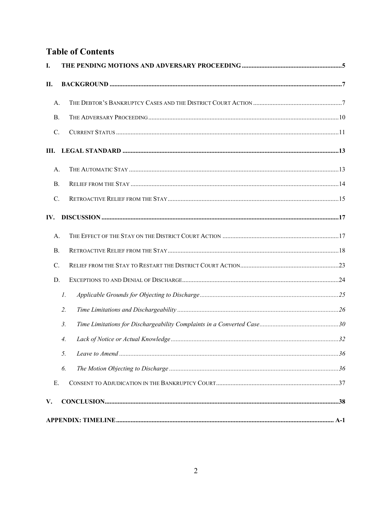# **Table of Contents**

| I.              |                       |  |
|-----------------|-----------------------|--|
| П.              |                       |  |
| A.              |                       |  |
| <b>B.</b>       |                       |  |
| C.              |                       |  |
| Ш.              |                       |  |
| А.              |                       |  |
| B.              |                       |  |
| $\mathcal{C}$ . |                       |  |
| IV.             |                       |  |
| A.              |                       |  |
| B.              |                       |  |
| $\mathcal{C}$ . |                       |  |
| D.              |                       |  |
|                 | $\mathcal{I}$ .       |  |
|                 | 2.                    |  |
|                 | $\mathfrak{Z}$ .      |  |
|                 | $\mathcal{A}_{\cdot}$ |  |
|                 | 5.                    |  |
|                 | 6.                    |  |
| Ε.              |                       |  |
| V.              |                       |  |
|                 |                       |  |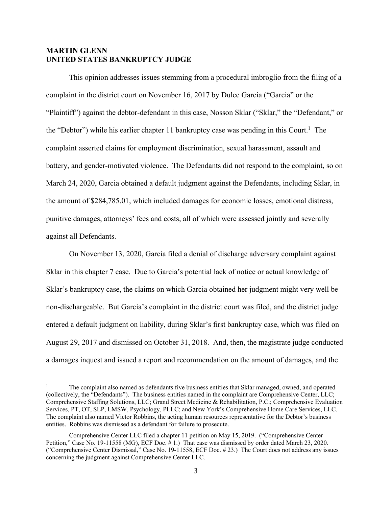## **MARTIN GLENN UNITED STATES BANKRUPTCY JUDGE**

This opinion addresses issues stemming from a procedural imbroglio from the filing of a complaint in the district court on November 16, 2017 by Dulce Garcia ("Garcia" or the "Plaintiff") against the debtor-defendant in this case, Nosson Sklar ("Sklar," the "Defendant," or the "Debtor") while his earlier chapter 11 bankruptcy case was pending in this Court.<sup>1</sup> The complaint asserted claims for employment discrimination, sexual harassment, assault and battery, and gender-motivated violence. The Defendants did not respond to the complaint, so on March 24, 2020, Garcia obtained a default judgment against the Defendants, including Sklar, in the amount of \$284,785.01, which included damages for economic losses, emotional distress, punitive damages, attorneys' fees and costs, all of which were assessed jointly and severally against all Defendants.

On November 13, 2020, Garcia filed a denial of discharge adversary complaint against Sklar in this chapter 7 case. Due to Garcia's potential lack of notice or actual knowledge of Sklar's bankruptcy case, the claims on which Garcia obtained her judgment might very well be non-dischargeable. But Garcia's complaint in the district court was filed, and the district judge entered a default judgment on liability, during Sklar's first bankruptcy case, which was filed on August 29, 2017 and dismissed on October 31, 2018. And, then, the magistrate judge conducted a damages inquest and issued a report and recommendation on the amount of damages, and the

<sup>1</sup> The complaint also named as defendants five business entities that Sklar managed, owned, and operated (collectively, the "Defendants"). The business entities named in the complaint are Comprehensive Center, LLC; Comprehensive Staffing Solutions, LLC; Grand Street Medicine & Rehabilitation, P.C.; Comprehensive Evaluation Services, PT, OT, SLP, LMSW, Psychology, PLLC; and New York's Comprehensive Home Care Services, LLC. The complaint also named Victor Robbins, the acting human resources representative for the Debtor's business entities. Robbins was dismissed as a defendant for failure to prosecute.

Comprehensive Center LLC filed a chapter 11 petition on May 15, 2019. ("Comprehensive Center Petition," Case No. 19-11558 (MG), ECF Doc. # 1.) That case was dismissed by order dated March 23, 2020. ("Comprehensive Center Dismissal," Case No. 19-11558, ECF Doc. # 23.) The Court does not address any issues concerning the judgment against Comprehensive Center LLC.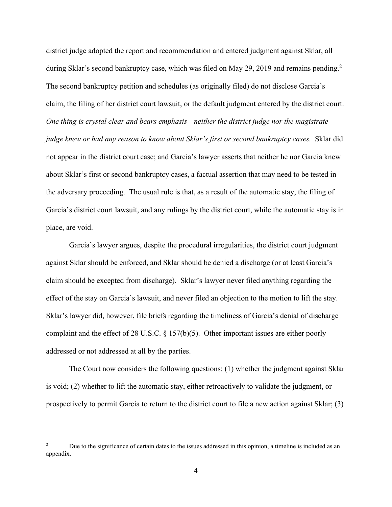district judge adopted the report and recommendation and entered judgment against Sklar, all during Sklar's second bankruptcy case, which was filed on May 29, 2019 and remains pending.<sup>2</sup> The second bankruptcy petition and schedules (as originally filed) do not disclose Garcia's claim, the filing of her district court lawsuit, or the default judgment entered by the district court. *One thing is crystal clear and bears emphasis—neither the district judge nor the magistrate judge knew or had any reason to know about Sklar's first or second bankruptcy cases.* Sklar did not appear in the district court case; and Garcia's lawyer asserts that neither he nor Garcia knew about Sklar's first or second bankruptcy cases, a factual assertion that may need to be tested in the adversary proceeding. The usual rule is that, as a result of the automatic stay, the filing of Garcia's district court lawsuit, and any rulings by the district court, while the automatic stay is in place, are void.

Garcia's lawyer argues, despite the procedural irregularities, the district court judgment against Sklar should be enforced, and Sklar should be denied a discharge (or at least Garcia's claim should be excepted from discharge). Sklar's lawyer never filed anything regarding the effect of the stay on Garcia's lawsuit, and never filed an objection to the motion to lift the stay. Sklar's lawyer did, however, file briefs regarding the timeliness of Garcia's denial of discharge complaint and the effect of 28 U.S.C. § 157(b)(5). Other important issues are either poorly addressed or not addressed at all by the parties.

The Court now considers the following questions: (1) whether the judgment against Sklar is void; (2) whether to lift the automatic stay, either retroactively to validate the judgment, or prospectively to permit Garcia to return to the district court to file a new action against Sklar; (3)

<sup>2</sup> Due to the significance of certain dates to the issues addressed in this opinion, a timeline is included as an appendix.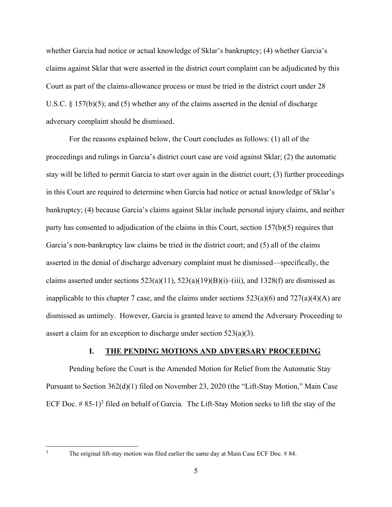whether Garcia had notice or actual knowledge of Sklar's bankruptcy; (4) whether Garcia's claims against Sklar that were asserted in the district court complaint can be adjudicated by this Court as part of the claims-allowance process or must be tried in the district court under 28 U.S.C. § 157(b)(5); and (5) whether any of the claims asserted in the denial of discharge adversary complaint should be dismissed.

For the reasons explained below, the Court concludes as follows: (1) all of the proceedings and rulings in Garcia's district court case are void against Sklar; (2) the automatic stay will be lifted to permit Garcia to start over again in the district court; (3) further proceedings in this Court are required to determine when Garcia had notice or actual knowledge of Sklar's bankruptcy; (4) because Garcia's claims against Sklar include personal injury claims, and neither party has consented to adjudication of the claims in this Court, section 157(b)(5) requires that Garcia's non-bankruptcy law claims be tried in the district court; and (5) all of the claims asserted in the denial of discharge adversary complaint must be dismissed—specifically, the claims asserted under sections  $523(a)(11)$ ,  $523(a)(19)(B)(i)$ –(iii), and  $1328(f)$  are dismissed as inapplicable to this chapter 7 case, and the claims under sections  $523(a)(6)$  and  $727(a)(4)(A)$  are dismissed as untimely. However, Garcia is granted leave to amend the Adversary Proceeding to assert a claim for an exception to discharge under section 523(a)(3).

#### **I. THE PENDING MOTIONS AND ADVERSARY PROCEEDING**

Pending before the Court is the Amended Motion for Relief from the Automatic Stay Pursuant to Section 362(d)(1) filed on November 23, 2020 (the "Lift-Stay Motion," Main Case ECF Doc.  $# 85-1$ <sup>3</sup> filed on behalf of Garcia. The Lift-Stay Motion seeks to lift the stay of the

The original lift-stay motion was filed earlier the same day at Main Case ECF Doc. # 84.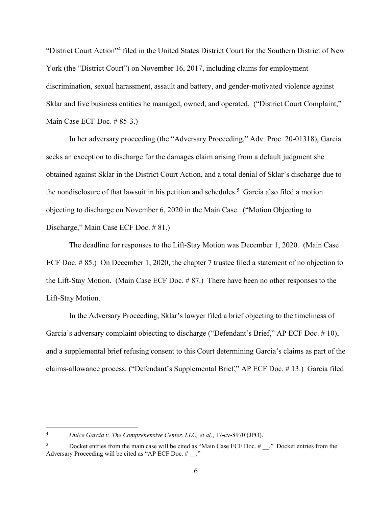"District Court Action"<sup>4</sup> filed in the United States District Court for the Southern District of New York (the "District Court") on November 16, 2017, including claims for employment discrimination, sexual harassment, assault and battery, and gender-motivated violence against Sklar and five business entities he managed, owned, and operated. ("District Court Complaint," Main Case ECF Doc. # 85-3.)

In her adversary proceeding (the "Adversary Proceeding," Adv. Proc. 20-01318), Garcia seeks an exception to discharge for the damages claim arising from a default judgment she obtained against Sklar in the District Court Action, and a total denial of Sklar's discharge due to the nondisclosure of that lawsuit in his petition and schedules.<sup>5</sup> Garcia also filed a motion objecting to discharge on November 6, 2020 in the Main Case. ("Motion Objecting to Discharge," Main Case ECF Doc. # 81.)

The deadline for responses to the Lift-Stay Motion was December 1, 2020. (Main Case ECF Doc. # 85.) On December 1, 2020, the chapter 7 trustee filed a statement of no objection to the Lift-Stay Motion. (Main Case ECF Doc. # 87.) There have been no other responses to the Lift-Stay Motion.

In the Adversary Proceeding, Sklar's lawyer filed a brief objecting to the timeliness of Garcia's adversary complaint objecting to discharge ("Defendant's Brief," AP ECF Doc. # 10), and a supplemental brief refusing consent to this Court determining Garcia's claims as part of the claims-allowance process. ("Defendant's Supplemental Brief," AP ECF Doc. # 13.) Garcia filed

<sup>4</sup> *Dulce Garcia v. The Comprehensive Center, LLC, et al.*, 17-cv-8970 (JPO).

<sup>5</sup> Docket entries from the main case will be cited as "Main Case ECF Doc. # ..." Docket entries from the Adversary Proceeding will be cited as "AP ECF Doc. # ."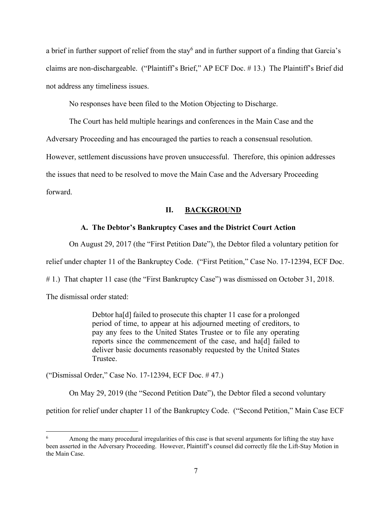a brief in further support of relief from the stay<sup>6</sup> and in further support of a finding that Garcia's claims are non-dischargeable. ("Plaintiff's Brief," AP ECF Doc. # 13.) The Plaintiff's Brief did not address any timeliness issues.

No responses have been filed to the Motion Objecting to Discharge.

The Court has held multiple hearings and conferences in the Main Case and the

Adversary Proceeding and has encouraged the parties to reach a consensual resolution.

However, settlement discussions have proven unsuccessful. Therefore, this opinion addresses

the issues that need to be resolved to move the Main Case and the Adversary Proceeding

forward.

#### **II. BACKGROUND**

#### **A. The Debtor's Bankruptcy Cases and the District Court Action**

On August 29, 2017 (the "First Petition Date"), the Debtor filed a voluntary petition for

relief under chapter 11 of the Bankruptcy Code. ("First Petition," Case No. 17-12394, ECF Doc.

# 1.) That chapter 11 case (the "First Bankruptcy Case") was dismissed on October 31, 2018.

The dismissal order stated:

Debtor ha[d] failed to prosecute this chapter 11 case for a prolonged period of time, to appear at his adjourned meeting of creditors, to pay any fees to the United States Trustee or to file any operating reports since the commencement of the case, and ha[d] failed to deliver basic documents reasonably requested by the United States Trustee.

("Dismissal Order," Case No. 17-12394, ECF Doc. # 47.)

On May 29, 2019 (the "Second Petition Date"), the Debtor filed a second voluntary

petition for relief under chapter 11 of the Bankruptcy Code. ("Second Petition," Main Case ECF

<sup>6</sup> Among the many procedural irregularities of this case is that several arguments for lifting the stay have been asserted in the Adversary Proceeding. However, Plaintiff's counsel did correctly file the Lift-Stay Motion in the Main Case.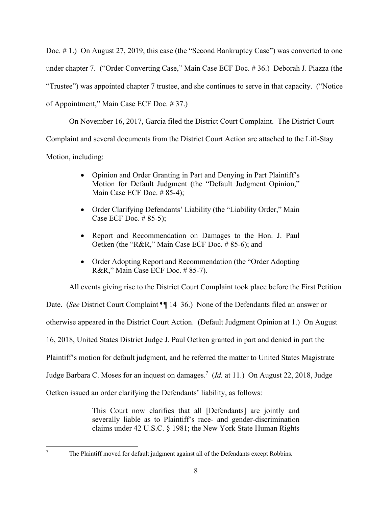Doc. #1.) On August 27, 2019, this case (the "Second Bankruptcy Case") was converted to one under chapter 7. ("Order Converting Case," Main Case ECF Doc. # 36.) Deborah J. Piazza (the "Trustee") was appointed chapter 7 trustee, and she continues to serve in that capacity. ("Notice of Appointment," Main Case ECF Doc. # 37.)

On November 16, 2017, Garcia filed the District Court Complaint. The District Court Complaint and several documents from the District Court Action are attached to the Lift-Stay Motion, including:

- Opinion and Order Granting in Part and Denying in Part Plaintiff's Motion for Default Judgment (the "Default Judgment Opinion," Main Case ECF Doc. # 85-4);
- Order Clarifying Defendants' Liability (the "Liability Order," Main Case ECF Doc. # 85-5);
- Report and Recommendation on Damages to the Hon. J. Paul Oetken (the "R&R," Main Case ECF Doc. # 85-6); and
- Order Adopting Report and Recommendation (the "Order Adopting" R&R," Main Case ECF Doc. # 85-7).

All events giving rise to the District Court Complaint took place before the First Petition

Date. (*See* District Court Complaint  $\P$  14–36.) None of the Defendants filed an answer or otherwise appeared in the District Court Action. (Default Judgment Opinion at 1.) On August 16, 2018, United States District Judge J. Paul Oetken granted in part and denied in part the Plaintiff's motion for default judgment, and he referred the matter to United States Magistrate Judge Barbara C. Moses for an inquest on damages.7 (*Id.* at 11.) On August 22, 2018, Judge Oetken issued an order clarifying the Defendants' liability, as follows:

> This Court now clarifies that all [Defendants] are jointly and severally liable as to Plaintiff's race- and gender-discrimination claims under 42 U.S.C. § 1981; the New York State Human Rights

The Plaintiff moved for default judgment against all of the Defendants except Robbins.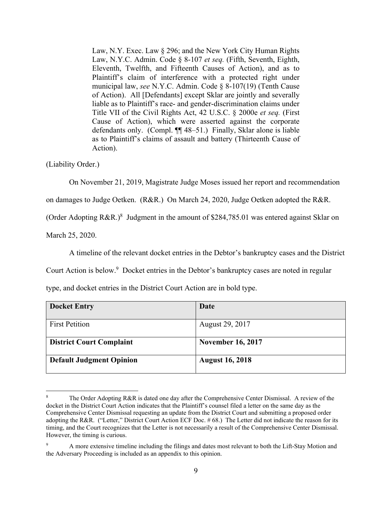Law, N.Y. Exec. Law § 296; and the New York City Human Rights Law, N.Y.C. Admin. Code § 8-107 *et seq.* (Fifth, Seventh, Eighth, Eleventh, Twelfth, and Fifteenth Causes of Action), and as to Plaintiff's claim of interference with a protected right under municipal law, *see* N.Y.C. Admin. Code § 8-107(19) (Tenth Cause of Action). All [Defendants] except Sklar are jointly and severally liable as to Plaintiff's race- and gender-discrimination claims under Title VII of the Civil Rights Act, 42 U.S.C. § 2000e *et seq.* (First Cause of Action), which were asserted against the corporate defendants only. (Compl. ¶¶ 48–51.) Finally, Sklar alone is liable as to Plaintiff's claims of assault and battery (Thirteenth Cause of Action).

(Liability Order.)

On November 21, 2019, Magistrate Judge Moses issued her report and recommendation

on damages to Judge Oetken. (R&R.) On March 24, 2020, Judge Oetken adopted the R&R.

(Order Adopting R&R.)<sup>8</sup> Judgment in the amount of \$284,785.01 was entered against Sklar on

March 25, 2020.

A timeline of the relevant docket entries in the Debtor's bankruptcy cases and the District

Court Action is below.<sup>9</sup> Docket entries in the Debtor's bankruptcy cases are noted in regular

type, and docket entries in the District Court Action are in bold type.

| <b>Docket Entry</b>             | Date                     |
|---------------------------------|--------------------------|
|                                 |                          |
| <b>First Petition</b>           | August 29, 2017          |
|                                 |                          |
| <b>District Court Complaint</b> | <b>November 16, 2017</b> |
|                                 |                          |
|                                 |                          |
| <b>Default Judgment Opinion</b> | <b>August 16, 2018</b>   |

<sup>8</sup> The Order Adopting R&R is dated one day after the Comprehensive Center Dismissal. A review of the docket in the District Court Action indicates that the Plaintiff's counsel filed a letter on the same day as the Comprehensive Center Dismissal requesting an update from the District Court and submitting a proposed order adopting the R&R. ("Letter," District Court Action ECF Doc. # 68.) The Letter did not indicate the reason for its timing, and the Court recognizes that the Letter is not necessarily a result of the Comprehensive Center Dismissal. However, the timing is curious.

<sup>9</sup> A more extensive timeline including the filings and dates most relevant to both the Lift-Stay Motion and the Adversary Proceeding is included as an appendix to this opinion.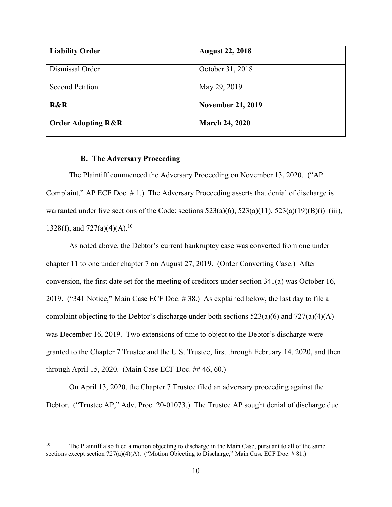| <b>Liability Order</b>        | <b>August 22, 2018</b>   |
|-------------------------------|--------------------------|
| Dismissal Order               | October 31, 2018         |
| <b>Second Petition</b>        | May 29, 2019             |
| <b>R&amp;R</b>                | <b>November 21, 2019</b> |
| <b>Order Adopting R&amp;R</b> | <b>March 24, 2020</b>    |

#### **B. The Adversary Proceeding**

The Plaintiff commenced the Adversary Proceeding on November 13, 2020. ("AP Complaint," AP ECF Doc. # 1.) The Adversary Proceeding asserts that denial of discharge is warranted under five sections of the Code: sections  $523(a)(6)$ ,  $523(a)(11)$ ,  $523(a)(19)(B)(i)$ –(iii), 1328(f), and  $727(a)(4)(A).^{10}$ 

As noted above, the Debtor's current bankruptcy case was converted from one under chapter 11 to one under chapter 7 on August 27, 2019. (Order Converting Case.) After conversion, the first date set for the meeting of creditors under section 341(a) was October 16, 2019. ("341 Notice," Main Case ECF Doc. # 38.) As explained below, the last day to file a complaint objecting to the Debtor's discharge under both sections  $523(a)(6)$  and  $727(a)(4)(A)$ was December 16, 2019. Two extensions of time to object to the Debtor's discharge were granted to the Chapter 7 Trustee and the U.S. Trustee, first through February 14, 2020, and then through April 15, 2020. (Main Case ECF Doc. ## 46, 60.)

On April 13, 2020, the Chapter 7 Trustee filed an adversary proceeding against the Debtor. ("Trustee AP," Adv. Proc. 20-01073.) The Trustee AP sought denial of discharge due

<sup>&</sup>lt;sup>10</sup> The Plaintiff also filed a motion objecting to discharge in the Main Case, pursuant to all of the same sections except section 727(a)(4)(A). ("Motion Objecting to Discharge," Main Case ECF Doc. # 81.)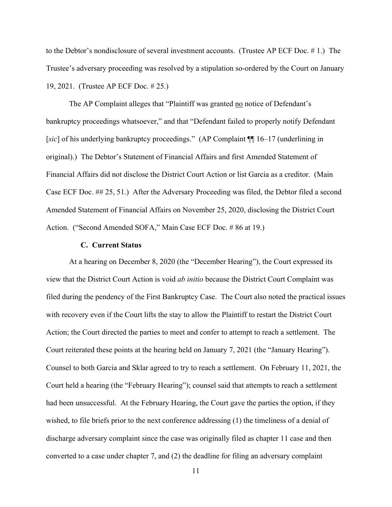to the Debtor's nondisclosure of several investment accounts. (Trustee AP ECF Doc. # 1.) The Trustee's adversary proceeding was resolved by a stipulation so-ordered by the Court on January 19, 2021. (Trustee AP ECF Doc. # 25.)

The AP Complaint alleges that "Plaintiff was granted no notice of Defendant's bankruptcy proceedings whatsoever," and that "Defendant failed to properly notify Defendant [*sic*] of his underlying bankruptcy proceedings." (AP Complaint  $\P$  16–17 (underlining in original).) The Debtor's Statement of Financial Affairs and first Amended Statement of Financial Affairs did not disclose the District Court Action or list Garcia as a creditor. (Main Case ECF Doc. ## 25, 51.) After the Adversary Proceeding was filed, the Debtor filed a second Amended Statement of Financial Affairs on November 25, 2020, disclosing the District Court Action. ("Second Amended SOFA," Main Case ECF Doc. # 86 at 19.)

#### **C. Current Status**

At a hearing on December 8, 2020 (the "December Hearing"), the Court expressed its view that the District Court Action is void *ab initio* because the District Court Complaint was filed during the pendency of the First Bankruptcy Case. The Court also noted the practical issues with recovery even if the Court lifts the stay to allow the Plaintiff to restart the District Court Action; the Court directed the parties to meet and confer to attempt to reach a settlement. The Court reiterated these points at the hearing held on January 7, 2021 (the "January Hearing"). Counsel to both Garcia and Sklar agreed to try to reach a settlement. On February 11, 2021, the Court held a hearing (the "February Hearing"); counsel said that attempts to reach a settlement had been unsuccessful. At the February Hearing, the Court gave the parties the option, if they wished, to file briefs prior to the next conference addressing (1) the timeliness of a denial of discharge adversary complaint since the case was originally filed as chapter 11 case and then converted to a case under chapter 7, and (2) the deadline for filing an adversary complaint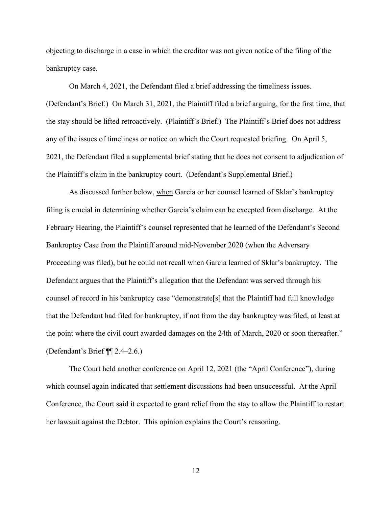objecting to discharge in a case in which the creditor was not given notice of the filing of the bankruptcy case.

On March 4, 2021, the Defendant filed a brief addressing the timeliness issues. (Defendant's Brief.) On March 31, 2021, the Plaintiff filed a brief arguing, for the first time, that the stay should be lifted retroactively. (Plaintiff's Brief.) The Plaintiff's Brief does not address any of the issues of timeliness or notice on which the Court requested briefing. On April 5, 2021, the Defendant filed a supplemental brief stating that he does not consent to adjudication of the Plaintiff's claim in the bankruptcy court. (Defendant's Supplemental Brief.)

As discussed further below, when Garcia or her counsel learned of Sklar's bankruptcy filing is crucial in determining whether Garcia's claim can be excepted from discharge. At the February Hearing, the Plaintiff's counsel represented that he learned of the Defendant's Second Bankruptcy Case from the Plaintiff around mid-November 2020 (when the Adversary Proceeding was filed), but he could not recall when Garcia learned of Sklar's bankruptcy. The Defendant argues that the Plaintiff's allegation that the Defendant was served through his counsel of record in his bankruptcy case "demonstrate[s] that the Plaintiff had full knowledge that the Defendant had filed for bankruptcy, if not from the day bankruptcy was filed, at least at the point where the civil court awarded damages on the 24th of March, 2020 or soon thereafter." (Defendant's Brief ¶¶ 2.4–2.6.)

The Court held another conference on April 12, 2021 (the "April Conference"), during which counsel again indicated that settlement discussions had been unsuccessful. At the April Conference, the Court said it expected to grant relief from the stay to allow the Plaintiff to restart her lawsuit against the Debtor. This opinion explains the Court's reasoning.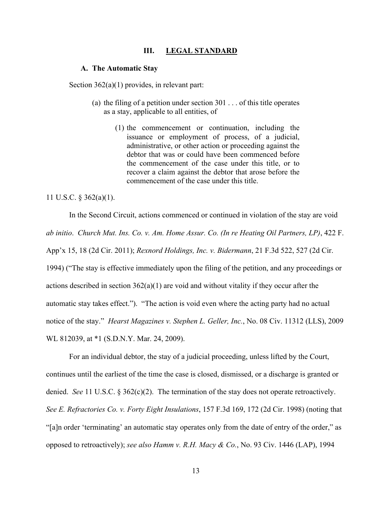#### **III. LEGAL STANDARD**

#### **A. The Automatic Stay**

Section  $362(a)(1)$  provides, in relevant part:

- (a) the filing of a petition under section  $301...$  of this title operates as a stay, applicable to all entities, of
	- (1) the commencement or continuation, including the issuance or employment of process, of a judicial, administrative, or other action or proceeding against the debtor that was or could have been commenced before the commencement of the case under this title, or to recover a claim against the debtor that arose before the commencement of the case under this title.

#### 11 U.S.C. § 362(a)(1).

In the Second Circuit, actions commenced or continued in violation of the stay are void *ab initio*. *Church Mut. Ins. Co. v. Am. Home Assur. Co. (In re Heating Oil Partners, LP)*, 422 F. App'x 15, 18 (2d Cir. 2011); *Rexnord Holdings, Inc. v. Bidermann*, 21 F.3d 522, 527 (2d Cir. 1994) ("The stay is effective immediately upon the filing of the petition, and any proceedings or actions described in section  $362(a)(1)$  are void and without vitality if they occur after the automatic stay takes effect."). "The action is void even where the acting party had no actual notice of the stay." *Hearst Magazines v. Stephen L. Geller, Inc.*, No. 08 Civ. 11312 (LLS), 2009 WL 812039, at \*1 (S.D.N.Y. Mar. 24, 2009).

For an individual debtor, the stay of a judicial proceeding, unless lifted by the Court, continues until the earliest of the time the case is closed, dismissed, or a discharge is granted or denied. *See* 11 U.S.C. § 362(c)(2). The termination of the stay does not operate retroactively. *See E. Refractories Co. v. Forty Eight Insulations*, 157 F.3d 169, 172 (2d Cir. 1998) (noting that "[a]n order 'terminating' an automatic stay operates only from the date of entry of the order," as opposed to retroactively); *see also Hamm v. R.H. Macy & Co.*, No. 93 Civ. 1446 (LAP), 1994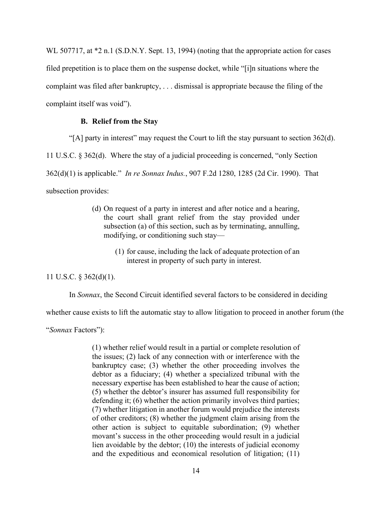WL 507717, at  $*2$  n.1 (S.D.N.Y. Sept. 13, 1994) (noting that the appropriate action for cases filed prepetition is to place them on the suspense docket, while "[i]n situations where the complaint was filed after bankruptcy, . . . dismissal is appropriate because the filing of the complaint itself was void").

#### **B. Relief from the Stay**

"[A] party in interest" may request the Court to lift the stay pursuant to section 362(d).

11 U.S.C. § 362(d). Where the stay of a judicial proceeding is concerned, "only Section

362(d)(1) is applicable." *In re Sonnax Indus.*, 907 F.2d 1280, 1285 (2d Cir. 1990). That

subsection provides:

- (d) On request of a party in interest and after notice and a hearing, the court shall grant relief from the stay provided under subsection (a) of this section, such as by terminating, annulling, modifying, or conditioning such stay—
	- (1) for cause, including the lack of adequate protection of an interest in property of such party in interest.

11 U.S.C. § 362(d)(1).

In *Sonnax*, the Second Circuit identified several factors to be considered in deciding

whether cause exists to lift the automatic stay to allow litigation to proceed in another forum (the

"*Sonnax* Factors"):

(1) whether relief would result in a partial or complete resolution of the issues; (2) lack of any connection with or interference with the bankruptcy case; (3) whether the other proceeding involves the debtor as a fiduciary; (4) whether a specialized tribunal with the necessary expertise has been established to hear the cause of action; (5) whether the debtor's insurer has assumed full responsibility for defending it; (6) whether the action primarily involves third parties; (7) whether litigation in another forum would prejudice the interests of other creditors; (8) whether the judgment claim arising from the other action is subject to equitable subordination; (9) whether movant's success in the other proceeding would result in a judicial lien avoidable by the debtor; (10) the interests of judicial economy and the expeditious and economical resolution of litigation; (11)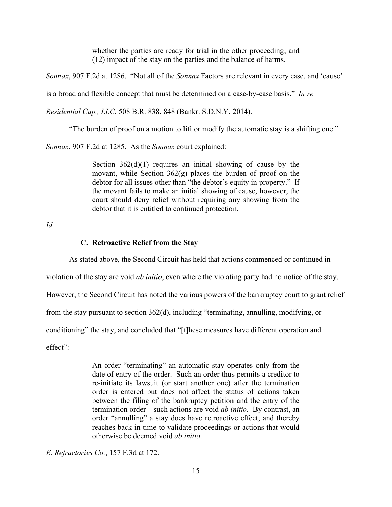whether the parties are ready for trial in the other proceeding; and (12) impact of the stay on the parties and the balance of harms.

*Sonnax*, 907 F.2d at 1286. "Not all of the *Sonnax* Factors are relevant in every case, and 'cause'

is a broad and flexible concept that must be determined on a case-by-case basis." *In re* 

*Residential Cap., LLC*, 508 B.R. 838, 848 (Bankr. S.D.N.Y. 2014).

"The burden of proof on a motion to lift or modify the automatic stay is a shifting one."

*Sonnax*, 907 F.2d at 1285. As the *Sonnax* court explained:

Section  $362(d)(1)$  requires an initial showing of cause by the movant, while Section  $362(g)$  places the burden of proof on the debtor for all issues other than "the debtor's equity in property." If the movant fails to make an initial showing of cause, however, the court should deny relief without requiring any showing from the debtor that it is entitled to continued protection.

*Id.*

#### **C. Retroactive Relief from the Stay**

As stated above, the Second Circuit has held that actions commenced or continued in

violation of the stay are void *ab initio*, even where the violating party had no notice of the stay.

However, the Second Circuit has noted the various powers of the bankruptcy court to grant relief

from the stay pursuant to section 362(d), including "terminating, annulling, modifying, or

conditioning" the stay, and concluded that "[t]hese measures have different operation and

effect":

An order "terminating" an automatic stay operates only from the date of entry of the order. Such an order thus permits a creditor to re-initiate its lawsuit (or start another one) after the termination order is entered but does not affect the status of actions taken between the filing of the bankruptcy petition and the entry of the termination order—such actions are void *ab initio*. By contrast, an order "annulling" a stay does have retroactive effect, and thereby reaches back in time to validate proceedings or actions that would otherwise be deemed void *ab initio*.

*E. Refractories Co.*, 157 F.3d at 172.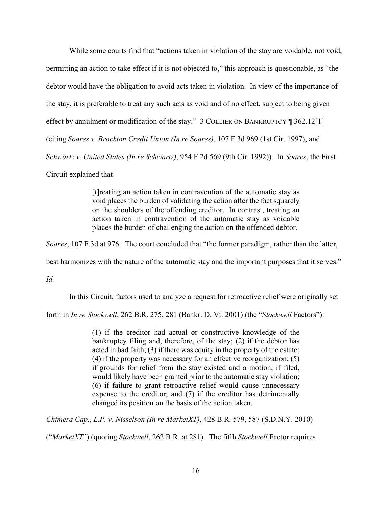While some courts find that "actions taken in violation of the stay are voidable, not void, permitting an action to take effect if it is not objected to," this approach is questionable, as "the debtor would have the obligation to avoid acts taken in violation. In view of the importance of the stay, it is preferable to treat any such acts as void and of no effect, subject to being given effect by annulment or modification of the stay." 3 COLLIER ON BANKRUPTCY [ 362.12[1] (citing *Soares v. Brockton Credit Union (In re Soares)*, 107 F.3d 969 (1st Cir. 1997), and *Schwartz v. United States (In re Schwartz)*, 954 F.2d 569 (9th Cir. 1992)). In *Soares*, the First Circuit explained that

> [t]reating an action taken in contravention of the automatic stay as void places the burden of validating the action after the fact squarely on the shoulders of the offending creditor. In contrast, treating an action taken in contravention of the automatic stay as voidable places the burden of challenging the action on the offended debtor.

*Soares*, 107 F.3d at 976. The court concluded that "the former paradigm, rather than the latter,

best harmonizes with the nature of the automatic stay and the important purposes that it serves."

*Id.*

In this Circuit, factors used to analyze a request for retroactive relief were originally set

forth in *In re Stockwell*, 262 B.R. 275, 281 (Bankr. D. Vt. 2001) (the "*Stockwell* Factors"):

(1) if the creditor had actual or constructive knowledge of the bankruptcy filing and, therefore, of the stay; (2) if the debtor has acted in bad faith; (3) if there was equity in the property of the estate; (4) if the property was necessary for an effective reorganization; (5) if grounds for relief from the stay existed and a motion, if filed, would likely have been granted prior to the automatic stay violation; (6) if failure to grant retroactive relief would cause unnecessary expense to the creditor; and (7) if the creditor has detrimentally changed its position on the basis of the action taken.

*Chimera Cap., L.P. v. Nisselson (In re MarketXT)*, 428 B.R. 579, 587 (S.D.N.Y. 2010)

("*MarketXT*") (quoting *Stockwell*, 262 B.R. at 281). The fifth *Stockwell* Factor requires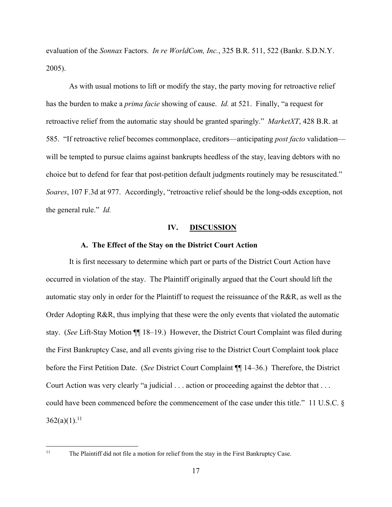evaluation of the *Sonnax* Factors. *In re WorldCom, Inc.*, 325 B.R. 511, 522 (Bankr. S.D.N.Y. 2005).

As with usual motions to lift or modify the stay, the party moving for retroactive relief has the burden to make a *prima facie* showing of cause. *Id.* at 521. Finally, "a request for retroactive relief from the automatic stay should be granted sparingly." *MarketXT*, 428 B.R. at 585. "If retroactive relief becomes commonplace, creditors—anticipating *post facto* validation will be tempted to pursue claims against bankrupts heedless of the stay, leaving debtors with no choice but to defend for fear that post-petition default judgments routinely may be resuscitated." *Soares*, 107 F.3d at 977. Accordingly, "retroactive relief should be the long-odds exception, not the general rule." *Id.*

#### **IV. DISCUSSION**

#### **A. The Effect of the Stay on the District Court Action**

It is first necessary to determine which part or parts of the District Court Action have occurred in violation of the stay. The Plaintiff originally argued that the Court should lift the automatic stay only in order for the Plaintiff to request the reissuance of the R&R, as well as the Order Adopting R&R, thus implying that these were the only events that violated the automatic stay. (*See* Lift-Stay Motion ¶¶ 18–19.) However, the District Court Complaint was filed during the First Bankruptcy Case, and all events giving rise to the District Court Complaint took place before the First Petition Date. (*See* District Court Complaint ¶¶ 14–36.) Therefore, the District Court Action was very clearly "a judicial . . . action or proceeding against the debtor that . . . could have been commenced before the commencement of the case under this title." 11 U.S.C. §  $362(a)(1).<sup>11</sup>$ 

<sup>&</sup>lt;sup>11</sup> The Plaintiff did not file a motion for relief from the stay in the First Bankruptcy Case.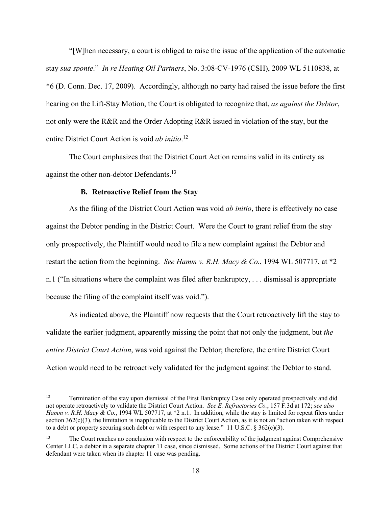"[W]hen necessary, a court is obliged to raise the issue of the application of the automatic stay *sua sponte*." *In re Heating Oil Partners*, No. 3:08-CV-1976 (CSH), 2009 WL 5110838, at \*6 (D. Conn. Dec. 17, 2009). Accordingly, although no party had raised the issue before the first hearing on the Lift-Stay Motion, the Court is obligated to recognize that, *as against the Debtor*, not only were the R&R and the Order Adopting R&R issued in violation of the stay, but the entire District Court Action is void *ab initio*. 12

The Court emphasizes that the District Court Action remains valid in its entirety as against the other non-debtor Defendants.<sup>13</sup>

#### **B. Retroactive Relief from the Stay**

As the filing of the District Court Action was void *ab initio*, there is effectively no case against the Debtor pending in the District Court. Were the Court to grant relief from the stay only prospectively, the Plaintiff would need to file a new complaint against the Debtor and restart the action from the beginning. *See Hamm v. R.H. Macy & Co.*, 1994 WL 507717, at \*2 n.1 ("In situations where the complaint was filed after bankruptcy, . . . dismissal is appropriate because the filing of the complaint itself was void.").

As indicated above, the Plaintiff now requests that the Court retroactively lift the stay to validate the earlier judgment, apparently missing the point that not only the judgment, but *the entire District Court Action*, was void against the Debtor; therefore, the entire District Court Action would need to be retroactively validated for the judgment against the Debtor to stand.

<sup>&</sup>lt;sup>12</sup> Termination of the stay upon dismissal of the First Bankruptcy Case only operated prospectively and did not operate retroactively to validate the District Court Action. *See E. Refractories Co.*, 157 F.3d at 172; *see also Hamm v. R.H. Macy & Co.*, 1994 WL 507717, at \*2 n.1. In addition, while the stay is limited for repeat filers under section  $362(c)(3)$ , the limitation is inapplicable to the District Court Action, as it is not an "action taken with respect to a debt or property securing such debt or with respect to any lease." 11 U.S.C.  $\S 362(c)(3)$ .

<sup>&</sup>lt;sup>13</sup> The Court reaches no conclusion with respect to the enforceability of the judgment against Comprehensive Center LLC, a debtor in a separate chapter 11 case, since dismissed. Some actions of the District Court against that defendant were taken when its chapter 11 case was pending.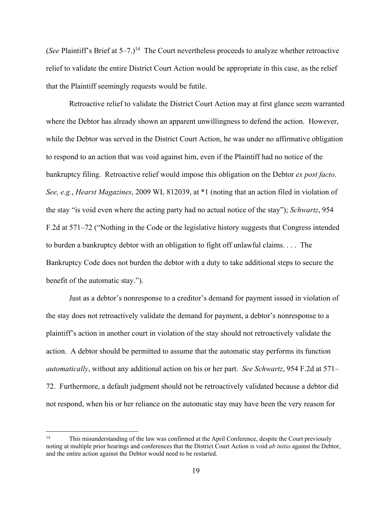(*See* Plaintiff's Brief at  $5-7$ .)<sup>14</sup> The Court nevertheless proceeds to analyze whether retroactive relief to validate the entire District Court Action would be appropriate in this case, as the relief that the Plaintiff seemingly requests would be futile.

Retroactive relief to validate the District Court Action may at first glance seem warranted where the Debtor has already shown an apparent unwillingness to defend the action. However, while the Debtor was served in the District Court Action, he was under no affirmative obligation to respond to an action that was void against him, even if the Plaintiff had no notice of the bankruptcy filing. Retroactive relief would impose this obligation on the Debtor *ex post facto*. *See, e.g.*, *Hearst Magazines*, 2009 WL 812039, at \*1 (noting that an action filed in violation of the stay "is void even where the acting party had no actual notice of the stay"); *Schwartz*, 954 F.2d at 571–72 ("Nothing in the Code or the legislative history suggests that Congress intended to burden a bankruptcy debtor with an obligation to fight off unlawful claims. . . . The Bankruptcy Code does not burden the debtor with a duty to take additional steps to secure the benefit of the automatic stay.").

Just as a debtor's nonresponse to a creditor's demand for payment issued in violation of the stay does not retroactively validate the demand for payment, a debtor's nonresponse to a plaintiff's action in another court in violation of the stay should not retroactively validate the action. A debtor should be permitted to assume that the automatic stay performs its function *automatically*, without any additional action on his or her part. *See Schwartz*, 954 F.2d at 571– 72. Furthermore, a default judgment should not be retroactively validated because a debtor did not respond, when his or her reliance on the automatic stay may have been the very reason for

<sup>&</sup>lt;sup>14</sup> This misunderstanding of the law was confirmed at the April Conference, despite the Court previously noting at multiple prior hearings and conferences that the District Court Action is void *ab initio* against the Debtor, and the entire action against the Debtor would need to be restarted.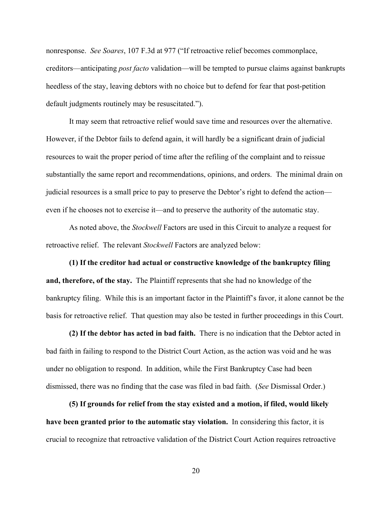nonresponse. *See Soares*, 107 F.3d at 977 ("If retroactive relief becomes commonplace, creditors—anticipating *post facto* validation—will be tempted to pursue claims against bankrupts heedless of the stay, leaving debtors with no choice but to defend for fear that post-petition default judgments routinely may be resuscitated.").

It may seem that retroactive relief would save time and resources over the alternative. However, if the Debtor fails to defend again, it will hardly be a significant drain of judicial resources to wait the proper period of time after the refiling of the complaint and to reissue substantially the same report and recommendations, opinions, and orders. The minimal drain on judicial resources is a small price to pay to preserve the Debtor's right to defend the action even if he chooses not to exercise it—and to preserve the authority of the automatic stay.

As noted above, the *Stockwell* Factors are used in this Circuit to analyze a request for retroactive relief. The relevant *Stockwell* Factors are analyzed below:

**(1) If the creditor had actual or constructive knowledge of the bankruptcy filing and, therefore, of the stay.** The Plaintiff represents that she had no knowledge of the bankruptcy filing. While this is an important factor in the Plaintiff's favor, it alone cannot be the basis for retroactive relief. That question may also be tested in further proceedings in this Court.

**(2) If the debtor has acted in bad faith.** There is no indication that the Debtor acted in bad faith in failing to respond to the District Court Action, as the action was void and he was under no obligation to respond. In addition, while the First Bankruptcy Case had been dismissed, there was no finding that the case was filed in bad faith. (*See* Dismissal Order.)

**(5) If grounds for relief from the stay existed and a motion, if filed, would likely have been granted prior to the automatic stay violation.** In considering this factor, it is crucial to recognize that retroactive validation of the District Court Action requires retroactive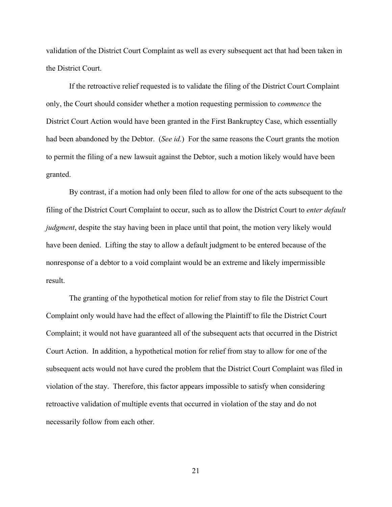validation of the District Court Complaint as well as every subsequent act that had been taken in the District Court.

If the retroactive relief requested is to validate the filing of the District Court Complaint only, the Court should consider whether a motion requesting permission to *commence* the District Court Action would have been granted in the First Bankruptcy Case, which essentially had been abandoned by the Debtor. (*See id.*) For the same reasons the Court grants the motion to permit the filing of a new lawsuit against the Debtor, such a motion likely would have been granted.

By contrast, if a motion had only been filed to allow for one of the acts subsequent to the filing of the District Court Complaint to occur, such as to allow the District Court to *enter default judgment*, despite the stay having been in place until that point, the motion very likely would have been denied. Lifting the stay to allow a default judgment to be entered because of the nonresponse of a debtor to a void complaint would be an extreme and likely impermissible result.

The granting of the hypothetical motion for relief from stay to file the District Court Complaint only would have had the effect of allowing the Plaintiff to file the District Court Complaint; it would not have guaranteed all of the subsequent acts that occurred in the District Court Action. In addition, a hypothetical motion for relief from stay to allow for one of the subsequent acts would not have cured the problem that the District Court Complaint was filed in violation of the stay. Therefore, this factor appears impossible to satisfy when considering retroactive validation of multiple events that occurred in violation of the stay and do not necessarily follow from each other.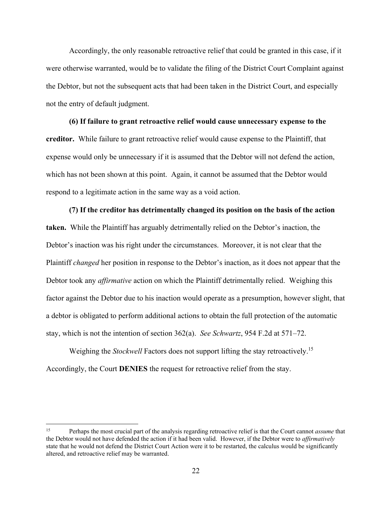Accordingly, the only reasonable retroactive relief that could be granted in this case, if it were otherwise warranted, would be to validate the filing of the District Court Complaint against the Debtor, but not the subsequent acts that had been taken in the District Court, and especially not the entry of default judgment.

**(6) If failure to grant retroactive relief would cause unnecessary expense to the creditor.** While failure to grant retroactive relief would cause expense to the Plaintiff, that expense would only be unnecessary if it is assumed that the Debtor will not defend the action, which has not been shown at this point. Again, it cannot be assumed that the Debtor would respond to a legitimate action in the same way as a void action.

**(7) If the creditor has detrimentally changed its position on the basis of the action taken.** While the Plaintiff has arguably detrimentally relied on the Debtor's inaction, the Debtor's inaction was his right under the circumstances. Moreover, it is not clear that the Plaintiff *changed* her position in response to the Debtor's inaction, as it does not appear that the Debtor took any *affirmative* action on which the Plaintiff detrimentally relied. Weighing this factor against the Debtor due to his inaction would operate as a presumption, however slight, that a debtor is obligated to perform additional actions to obtain the full protection of the automatic stay, which is not the intention of section 362(a). *See Schwartz*, 954 F.2d at 571–72.

Weighing the *Stockwell* Factors does not support lifting the stay retroactively.15 Accordingly, the Court **DENIES** the request for retroactive relief from the stay.

<sup>15</sup> Perhaps the most crucial part of the analysis regarding retroactive relief is that the Court cannot *assume* that the Debtor would not have defended the action if it had been valid. However, if the Debtor were to *affirmatively* state that he would not defend the District Court Action were it to be restarted, the calculus would be significantly altered, and retroactive relief may be warranted.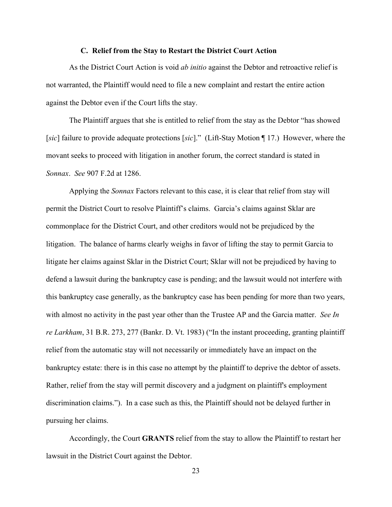#### **C. Relief from the Stay to Restart the District Court Action**

As the District Court Action is void *ab initio* against the Debtor and retroactive relief is not warranted, the Plaintiff would need to file a new complaint and restart the entire action against the Debtor even if the Court lifts the stay.

The Plaintiff argues that she is entitled to relief from the stay as the Debtor "has showed [*sic*] failure to provide adequate protections [*sic*]." (Lift-Stay Motion ¶ 17.) However, where the movant seeks to proceed with litigation in another forum, the correct standard is stated in *Sonnax*. *See* 907 F.2d at 1286.

 Applying the *Sonnax* Factors relevant to this case, it is clear that relief from stay will permit the District Court to resolve Plaintiff's claims. Garcia's claims against Sklar are commonplace for the District Court, and other creditors would not be prejudiced by the litigation. The balance of harms clearly weighs in favor of lifting the stay to permit Garcia to litigate her claims against Sklar in the District Court; Sklar will not be prejudiced by having to defend a lawsuit during the bankruptcy case is pending; and the lawsuit would not interfere with this bankruptcy case generally, as the bankruptcy case has been pending for more than two years, with almost no activity in the past year other than the Trustee AP and the Garcia matter. *See In re Larkham*, 31 B.R. 273, 277 (Bankr. D. Vt. 1983) ("In the instant proceeding, granting plaintiff relief from the automatic stay will not necessarily or immediately have an impact on the bankruptcy estate: there is in this case no attempt by the plaintiff to deprive the debtor of assets. Rather, relief from the stay will permit discovery and a judgment on plaintiff's employment discrimination claims."). In a case such as this, the Plaintiff should not be delayed further in pursuing her claims.

Accordingly, the Court **GRANTS** relief from the stay to allow the Plaintiff to restart her lawsuit in the District Court against the Debtor.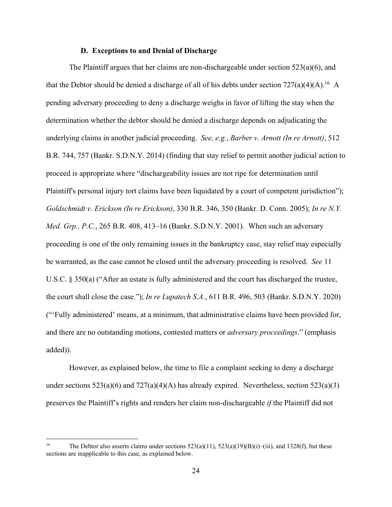#### **D. Exceptions to and Denial of Discharge**

The Plaintiff argues that her claims are non-dischargeable under section  $523(a)(6)$ , and that the Debtor should be denied a discharge of all of his debts under section  $727(a)(4)(A)$ .<sup>16</sup> A pending adversary proceeding to deny a discharge weighs in favor of lifting the stay when the determination whether the debtor should be denied a discharge depends on adjudicating the underlying claims in another judicial proceeding. *See, e.g.*, *Barber v. Arnott (In re Arnott)*, 512 B.R. 744, 757 (Bankr. S.D.N.Y. 2014) (finding that stay relief to permit another judicial action to proceed is appropriate where "dischargeability issues are not ripe for determination until Plaintiff's personal injury tort claims have been liquidated by a court of competent jurisdiction"); *Goldschmidt v. Erickson (In re Erickson)*, 330 B.R. 346, 350 (Bankr. D. Conn. 2005); *In re N.Y. Med. Grp., P.C.*, 265 B.R. 408, 413–16 (Bankr. S.D.N.Y. 2001). When such an adversary proceeding is one of the only remaining issues in the bankruptcy case, stay relief may especially be warranted, as the case cannot be closed until the adversary proceeding is resolved. *See* 11 U.S.C. § 350(a) ("After an estate is fully administered and the court has discharged the trustee, the court shall close the case."); *In re Lupatech S.A.*, 611 B.R. 496, 503 (Bankr. S.D.N.Y. 2020) ("'Fully administered' means, at a minimum, that administrative claims have been provided for, and there are no outstanding motions, contested matters or *adversary proceedings*." (emphasis added)).

However, as explained below, the time to file a complaint seeking to deny a discharge under sections  $523(a)(6)$  and  $727(a)(4)(A)$  has already expired. Nevertheless, section  $523(a)(3)$ preserves the Plaintiff's rights and renders her claim non-dischargeable *if* the Plaintiff did not

<sup>&</sup>lt;sup>16</sup> The Debtor also asserts claims under sections  $523(a)(11)$ ,  $523(a)(19)(B)(i)$ –(iii), and 1328(f), but these sections are inapplicable to this case, as explained below.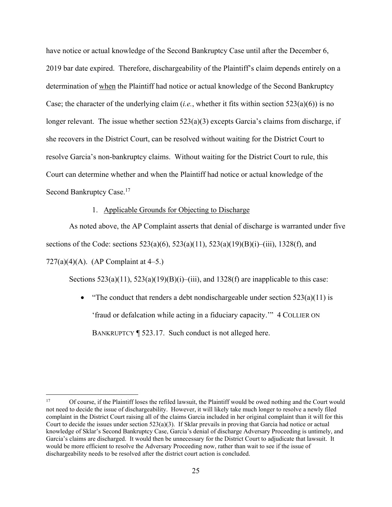have notice or actual knowledge of the Second Bankruptcy Case until after the December 6, 2019 bar date expired. Therefore, dischargeability of the Plaintiff's claim depends entirely on a determination of when the Plaintiff had notice or actual knowledge of the Second Bankruptcy Case; the character of the underlying claim (*i.e.*, whether it fits within section 523(a)(6)) is no longer relevant. The issue whether section 523(a)(3) excepts Garcia's claims from discharge, if she recovers in the District Court, can be resolved without waiting for the District Court to resolve Garcia's non-bankruptcy claims. Without waiting for the District Court to rule, this Court can determine whether and when the Plaintiff had notice or actual knowledge of the Second Bankruptcy Case.<sup>17</sup>

#### 1. Applicable Grounds for Objecting to Discharge

As noted above, the AP Complaint asserts that denial of discharge is warranted under five sections of the Code: sections  $523(a)(6)$ ,  $523(a)(11)$ ,  $523(a)(19)(B)(i)$ –(iii), 1328(f), and 727(a)(4)(A). (AP Complaint at  $4-5$ .)

Sections  $523(a)(11)$ ,  $523(a)(19)(B)(i)$ –(iii), and  $1328(f)$  are inapplicable to this case:

• "The conduct that renders a debt nondischargeable under section  $523(a)(11)$  is 'fraud or defalcation while acting in a fiduciary capacity.'" 4 COLLIER ON BANKRUPTCY ¶ 523.17. Such conduct is not alleged here.

<sup>&</sup>lt;sup>17</sup> Of course, if the Plaintiff loses the refiled lawsuit, the Plaintiff would be owed nothing and the Court would not need to decide the issue of dischargeability. However, it will likely take much longer to resolve a newly filed complaint in the District Court raising all of the claims Garcia included in her original complaint than it will for this Court to decide the issues under section  $523(a)(3)$ . If Sklar prevails in proving that Garcia had notice or actual knowledge of Sklar's Second Bankruptcy Case, Garcia's denial of discharge Adversary Proceeding is untimely, and Garcia's claims are discharged. It would then be unnecessary for the District Court to adjudicate that lawsuit. It would be more efficient to resolve the Adversary Proceeding now, rather than wait to see if the issue of dischargeability needs to be resolved after the district court action is concluded.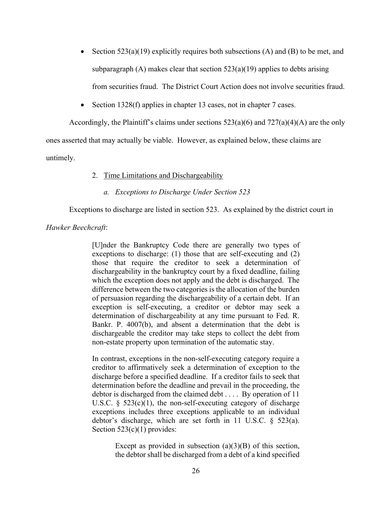- Section  $523(a)(19)$  explicitly requires both subsections (A) and (B) to be met, and subparagraph (A) makes clear that section  $523(a)(19)$  applies to debts arising from securities fraud. The District Court Action does not involve securities fraud.
- Section 1328(f) applies in chapter 13 cases, not in chapter 7 cases.

Accordingly, the Plaintiff's claims under sections  $523(a)(6)$  and  $727(a)(4)(A)$  are the only

ones asserted that may actually be viable. However, as explained below, these claims are

untimely.

#### 2. Time Limitations and Dischargeability

*a. Exceptions to Discharge Under Section 523* 

Exceptions to discharge are listed in section 523. As explained by the district court in

*Hawker Beechcraft*:

[U]nder the Bankruptcy Code there are generally two types of exceptions to discharge: (1) those that are self-executing and (2) those that require the creditor to seek a determination of dischargeability in the bankruptcy court by a fixed deadline, failing which the exception does not apply and the debt is discharged. The difference between the two categories is the allocation of the burden of persuasion regarding the dischargeability of a certain debt. If an exception is self-executing, a creditor or debtor may seek a determination of dischargeability at any time pursuant to Fed. R. Bankr. P. 4007(b), and absent a determination that the debt is dischargeable the creditor may take steps to collect the debt from non-estate property upon termination of the automatic stay.

In contrast, exceptions in the non-self-executing category require a creditor to affirmatively seek a determination of exception to the discharge before a specified deadline. If a creditor fails to seek that determination before the deadline and prevail in the proceeding, the debtor is discharged from the claimed debt . . . . By operation of 11 U.S.C.  $\delta$  523(c)(1), the non-self-executing category of discharge exceptions includes three exceptions applicable to an individual debtor's discharge, which are set forth in 11 U.S.C. § 523(a). Section 523(c)(1) provides:

> Except as provided in subsection  $(a)(3)(B)$  of this section, the debtor shall be discharged from a debt of a kind specified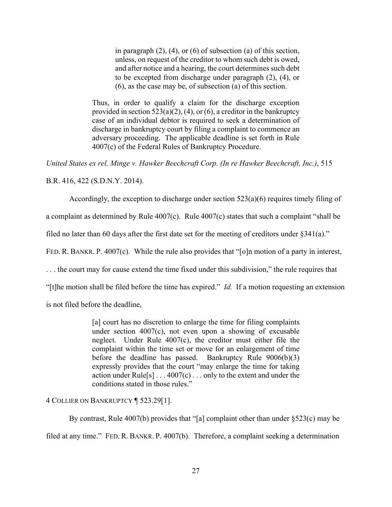in paragraph  $(2)$ ,  $(4)$ , or  $(6)$  of subsection  $(a)$  of this section, unless, on request of the creditor to whom such debt is owed, and after notice and a hearing, the court determines such debt to be excepted from discharge under paragraph (2), (4), or (6), as the case may be, of subsection (a) of this section.

Thus, in order to qualify a claim for the discharge exception provided in section  $523(a)(2)$ , (4), or (6), a creditor in the bankruptcy case of an individual debtor is required to seek a determination of discharge in bankruptcy court by filing a complaint to commence an adversary proceeding. The applicable deadline is set forth in Rule 4007(c) of the Federal Rules of Bankruptcy Procedure.

*United States ex rel. Minge v. Hawker Beechcraft Corp. (In re Hawker Beechcraft, Inc.)*, 515

B.R. 416, 422 (S.D.N.Y. 2014).

Accordingly, the exception to discharge under section 523(a)(6) requires timely filing of

a complaint as determined by Rule  $4007(c)$ . Rule  $4007(c)$  states that such a complaint "shall be

filed no later than 60 days after the first date set for the meeting of creditors under §341(a)."

FED. R. BANKR. P. 4007(c). While the rule also provides that "[o]n motion of a party in interest,

. . . the court may for cause extend the time fixed under this subdivision," the rule requires that

"[t]he motion shall be filed before the time has expired." *Id.* If a motion requesting an extension

is not filed before the deadline,

[a] court has no discretion to enlarge the time for filing complaints under section 4007(c), not even upon a showing of excusable neglect. Under Rule 4007(c), the creditor must either file the complaint within the time set or move for an enlargement of time before the deadline has passed. Bankruptcy Rule 9006(b)(3) expressly provides that the court "may enlarge the time for taking action under Rule<sup>[s]</sup> . . . 4007(c) . . . only to the extent and under the conditions stated in those rules."

4 COLLIER ON BANKRUPTCY ¶ 523.29[1].

By contrast, Rule 4007(b) provides that "[a] complaint other than under §523(c) may be filed at any time." FED. R. BANKR. P. 4007(b). Therefore, a complaint seeking a determination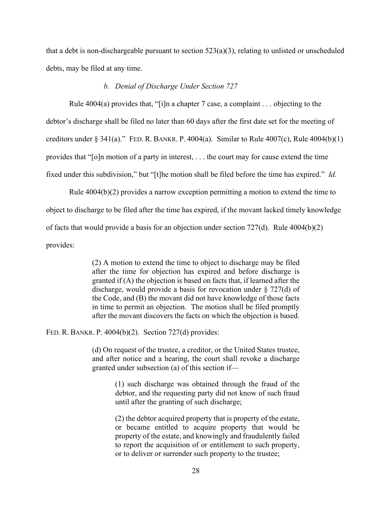that a debt is non-dischargeable pursuant to section  $523(a)(3)$ , relating to unlisted or unscheduled debts, may be filed at any time.

#### *b. Denial of Discharge Under Section 727*

Rule 4004(a) provides that, "[i]n a chapter 7 case, a complaint . . . objecting to the debtor's discharge shall be filed no later than 60 days after the first date set for the meeting of creditors under  $\S$  341(a)." FED. R. BANKR. P. 4004(a). Similar to Rule 4007(c), Rule 4004(b)(1) provides that "[o]n motion of a party in interest, . . . the court may for cause extend the time fixed under this subdivision," but "[t]he motion shall be filed before the time has expired." *Id.* 

Rule 4004(b)(2) provides a narrow exception permitting a motion to extend the time to object to discharge to be filed after the time has expired, if the movant lacked timely knowledge of facts that would provide a basis for an objection under section 727(d). Rule 4004(b)(2) provides:

> (2) A motion to extend the time to object to discharge may be filed after the time for objection has expired and before discharge is granted if (A) the objection is based on facts that, if learned after the discharge, would provide a basis for revocation under § 727(d) of the Code, and (B) the movant did not have knowledge of those facts in time to permit an objection. The motion shall be filed promptly after the movant discovers the facts on which the objection is based.

FED. R. BANKR. P. 4004(b)(2). Section 727(d) provides:

(d) On request of the trustee, a creditor, or the United States trustee, and after notice and a hearing, the court shall revoke a discharge granted under subsection (a) of this section if—

> (1) such discharge was obtained through the fraud of the debtor, and the requesting party did not know of such fraud until after the granting of such discharge;

> (2) the debtor acquired property that is property of the estate, or became entitled to acquire property that would be property of the estate, and knowingly and fraudulently failed to report the acquisition of or entitlement to such property, or to deliver or surrender such property to the trustee;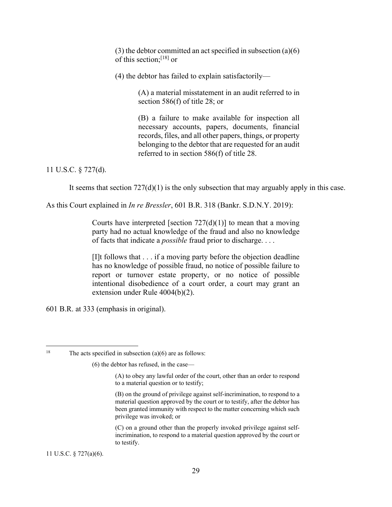(3) the debtor committed an act specified in subsection (a)(6) of this section;[18] or

(4) the debtor has failed to explain satisfactorily—

(A) a material misstatement in an audit referred to in section 586(f) of title 28; or

(B) a failure to make available for inspection all necessary accounts, papers, documents, financial records, files, and all other papers, things, or property belonging to the debtor that are requested for an audit referred to in section 586(f) of title 28.

#### 11 U.S.C. § 727(d).

It seems that section  $727(d)(1)$  is the only subsection that may arguably apply in this case.

As this Court explained in *In re Bressler*, 601 B.R. 318 (Bankr. S.D.N.Y. 2019):

Courts have interpreted [section  $727(d)(1)$ ] to mean that a moving party had no actual knowledge of the fraud and also no knowledge of facts that indicate a *possible* fraud prior to discharge. . . .

[I]t follows that . . . if a moving party before the objection deadline has no knowledge of possible fraud, no notice of possible failure to report or turnover estate property, or no notice of possible intentional disobedience of a court order, a court may grant an extension under Rule 4004(b)(2).

601 B.R. at 333 (emphasis in original).

11 U.S.C. § 727(a)(6).

<sup>&</sup>lt;sup>18</sup> The acts specified in subsection (a)(6) are as follows:

<sup>(6)</sup> the debtor has refused, in the case—

<sup>(</sup>A) to obey any lawful order of the court, other than an order to respond to a material question or to testify;

<sup>(</sup>B) on the ground of privilege against self-incrimination, to respond to a material question approved by the court or to testify, after the debtor has been granted immunity with respect to the matter concerning which such privilege was invoked; or

<sup>(</sup>C) on a ground other than the properly invoked privilege against selfincrimination, to respond to a material question approved by the court or to testify.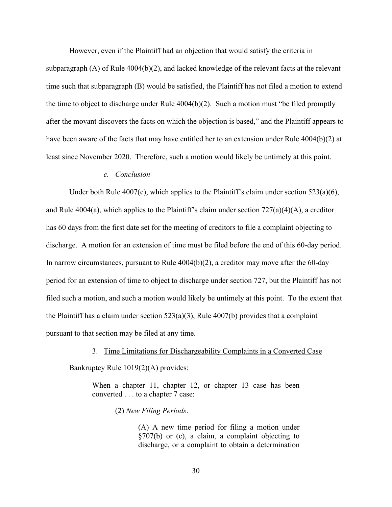However, even if the Plaintiff had an objection that would satisfy the criteria in subparagraph (A) of Rule 4004(b)(2), and lacked knowledge of the relevant facts at the relevant time such that subparagraph (B) would be satisfied, the Plaintiff has not filed a motion to extend the time to object to discharge under Rule 4004(b)(2). Such a motion must "be filed promptly

after the movant discovers the facts on which the objection is based," and the Plaintiff appears to have been aware of the facts that may have entitled her to an extension under Rule 4004(b)(2) at least since November 2020. Therefore, such a motion would likely be untimely at this point.

#### *c. Conclusion*

Under both Rule  $4007(c)$ , which applies to the Plaintiff's claim under section  $523(a)(6)$ , and Rule 4004(a), which applies to the Plaintiff's claim under section  $727(a)(4)(A)$ , a creditor has 60 days from the first date set for the meeting of creditors to file a complaint objecting to discharge. A motion for an extension of time must be filed before the end of this 60-day period. In narrow circumstances, pursuant to Rule 4004(b)(2), a creditor may move after the 60-day period for an extension of time to object to discharge under section 727, but the Plaintiff has not filed such a motion, and such a motion would likely be untimely at this point. To the extent that the Plaintiff has a claim under section  $523(a)(3)$ , Rule  $4007(b)$  provides that a complaint pursuant to that section may be filed at any time.

3. Time Limitations for Dischargeability Complaints in a Converted Case

Bankruptcy Rule 1019(2)(A) provides:

When a chapter 11, chapter 12, or chapter 13 case has been converted . . . to a chapter 7 case:

(2) *New Filing Periods*.

(A) A new time period for filing a motion under §707(b) or (c), a claim, a complaint objecting to discharge, or a complaint to obtain a determination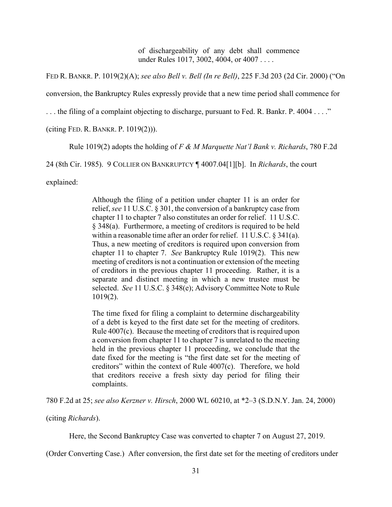of dischargeability of any debt shall commence under Rules 1017, 3002, 4004, or 4007 . . . .

FED R. BANKR. P. 1019(2)(A); *see also Bell v. Bell (In re Bell)*, 225 F.3d 203 (2d Cir. 2000) ("On

conversion, the Bankruptcy Rules expressly provide that a new time period shall commence for

. . . the filing of a complaint objecting to discharge, pursuant to Fed. R. Bankr. P. 4004 . . . ."

(citing FED. R. BANKR. P. 1019(2))).

Rule 1019(2) adopts the holding of *F & M Marquette Nat'l Bank v. Richards*, 780 F.2d

24 (8th Cir. 1985). 9 COLLIER ON BANKRUPTCY ¶ 4007.04[1][b]. In *Richards*, the court

explained:

Although the filing of a petition under chapter 11 is an order for relief, *see* 11 U.S.C. § 301, the conversion of a bankruptcy case from chapter 11 to chapter 7 also constitutes an order for relief. 11 U.S.C. § 348(a). Furthermore, a meeting of creditors is required to be held within a reasonable time after an order for relief. 11 U.S.C. § 341(a). Thus, a new meeting of creditors is required upon conversion from chapter 11 to chapter 7. *See* Bankruptcy Rule 1019(2). This new meeting of creditors is not a continuation or extension of the meeting of creditors in the previous chapter 11 proceeding. Rather, it is a separate and distinct meeting in which a new trustee must be selected. *See* 11 U.S.C. § 348(e); Advisory Committee Note to Rule 1019(2).

The time fixed for filing a complaint to determine dischargeability of a debt is keyed to the first date set for the meeting of creditors. Rule 4007(c). Because the meeting of creditors that is required upon a conversion from chapter 11 to chapter 7 is unrelated to the meeting held in the previous chapter 11 proceeding, we conclude that the date fixed for the meeting is "the first date set for the meeting of creditors" within the context of Rule 4007(c). Therefore, we hold that creditors receive a fresh sixty day period for filing their complaints.

780 F.2d at 25; *see also Kerzner v. Hirsch*, 2000 WL 60210, at \*2–3 (S.D.N.Y. Jan. 24, 2000)

(citing *Richards*).

Here, the Second Bankruptcy Case was converted to chapter 7 on August 27, 2019.

(Order Converting Case.) After conversion, the first date set for the meeting of creditors under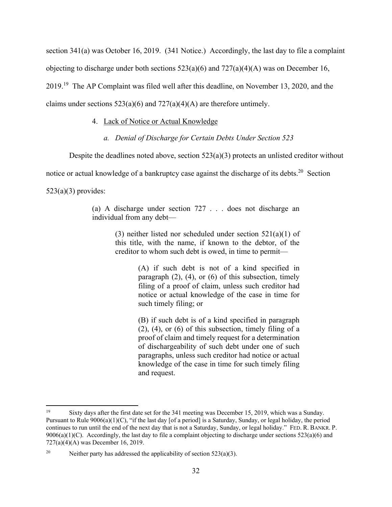section 341(a) was October 16, 2019. (341 Notice.) Accordingly, the last day to file a complaint objecting to discharge under both sections  $523(a)(6)$  and  $727(a)(4)(A)$  was on December 16, 2019.19 The AP Complaint was filed well after this deadline, on November 13, 2020, and the claims under sections  $523(a)(6)$  and  $727(a)(4)(A)$  are therefore untimely.

#### 4. Lack of Notice or Actual Knowledge

*a. Denial of Discharge for Certain Debts Under Section 523* 

Despite the deadlines noted above, section  $523(a)(3)$  protects an unlisted creditor without

notice or actual knowledge of a bankruptcy case against the discharge of its debts.<sup>20</sup> Section

 $523(a)(3)$  provides:

(a) A discharge under section 727 . . . does not discharge an individual from any debt—

> (3) neither listed nor scheduled under section  $521(a)(1)$  of this title, with the name, if known to the debtor, of the creditor to whom such debt is owed, in time to permit—

> > (A) if such debt is not of a kind specified in paragraph  $(2)$ ,  $(4)$ , or  $(6)$  of this subsection, timely filing of a proof of claim, unless such creditor had notice or actual knowledge of the case in time for such timely filing; or

> > (B) if such debt is of a kind specified in paragraph  $(2)$ ,  $(4)$ , or  $(6)$  of this subsection, timely filing of a proof of claim and timely request for a determination of dischargeability of such debt under one of such paragraphs, unless such creditor had notice or actual knowledge of the case in time for such timely filing and request.

<sup>19</sup> Sixty days after the first date set for the 341 meeting was December 15, 2019, which was a Sunday. Pursuant to Rule  $9006(a)(1)(C)$ , "if the last day [of a period] is a Saturday, Sunday, or legal holiday, the period continues to run until the end of the next day that is not a Saturday, Sunday, or legal holiday." FED. R. BANKR. P. 9006(a)(1)(C). Accordingly, the last day to file a complaint objecting to discharge under sections  $523(a)(6)$  and 727(a)(4)(A) was December 16, 2019.

<sup>&</sup>lt;sup>20</sup> Neither party has addressed the applicability of section 523(a)(3).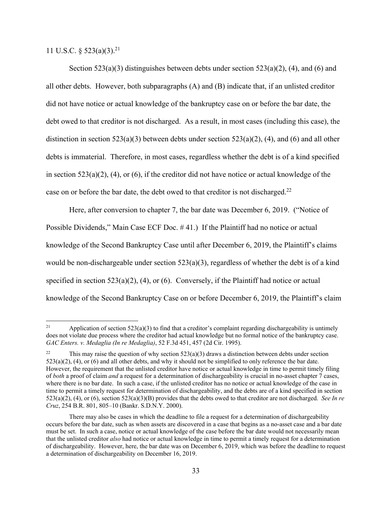11 U.S.C. § 523(a)(3).21

Section 523(a)(3) distinguishes between debts under section 523(a)(2), (4), and (6) and all other debts. However, both subparagraphs (A) and (B) indicate that, if an unlisted creditor did not have notice or actual knowledge of the bankruptcy case on or before the bar date, the debt owed to that creditor is not discharged. As a result, in most cases (including this case), the distinction in section 523(a)(3) between debts under section 523(a)(2), (4), and (6) and all other debts is immaterial. Therefore, in most cases, regardless whether the debt is of a kind specified in section 523(a)(2), (4), or (6), if the creditor did not have notice or actual knowledge of the case on or before the bar date, the debt owed to that creditor is not discharged.<sup>22</sup>

Here, after conversion to chapter 7, the bar date was December 6, 2019. ("Notice of Possible Dividends," Main Case ECF Doc. # 41.) If the Plaintiff had no notice or actual knowledge of the Second Bankruptcy Case until after December 6, 2019, the Plaintiff's claims would be non-dischargeable under section 523(a)(3), regardless of whether the debt is of a kind specified in section 523(a)(2), (4), or (6). Conversely, if the Plaintiff had notice or actual knowledge of the Second Bankruptcy Case on or before December 6, 2019, the Plaintiff's claim

<sup>&</sup>lt;sup>21</sup> Application of section 523(a)(3) to find that a creditor's complaint regarding dischargeability is untimely does not violate due process where the creditor had actual knowledge but no formal notice of the bankruptcy case. *GAC Enters. v. Medaglia (In re Medaglia)*, 52 F.3d 451, 457 (2d Cir. 1995).

<sup>&</sup>lt;sup>22</sup> This may raise the question of why section 523(a)(3) draws a distinction between debts under section  $523(a)(2)$ , (4), or (6) and all other debts, and why it should not be simplified to only reference the bar date. However, the requirement that the unlisted creditor have notice or actual knowledge in time to permit timely filing of *both* a proof of claim *and* a request for a determination of dischargeability is crucial in no-asset chapter 7 cases, where there is no bar date. In such a case, if the unlisted creditor has no notice or actual knowledge of the case in time to permit a timely request for determination of dischargeability, and the debts are of a kind specified in section 523(a)(2), (4), or (6), section 523(a)(3)(B) provides that the debts owed to that creditor are not discharged. *See In re Cruz*, 254 B.R. 801, 805–10 (Bankr. S.D.N.Y. 2000).

There may also be cases in which the deadline to file a request for a determination of dischargeability occurs before the bar date, such as when assets are discovered in a case that begins as a no-asset case and a bar date must be set. In such a case, notice or actual knowledge of the case before the bar date would not necessarily mean that the unlisted creditor *also* had notice or actual knowledge in time to permit a timely request for a determination of dischargeability. However, here, the bar date was on December 6, 2019, which was before the deadline to request a determination of dischargeability on December 16, 2019.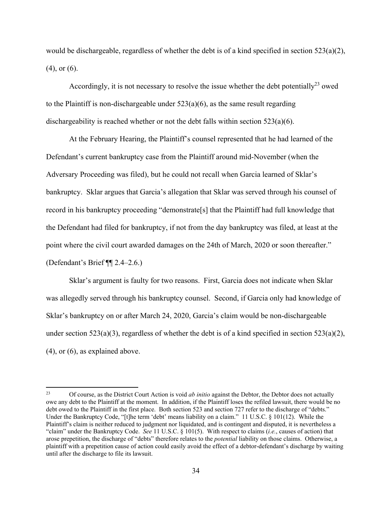would be dischargeable, regardless of whether the debt is of a kind specified in section  $523(a)(2)$ , (4), or (6).

Accordingly, it is not necessary to resolve the issue whether the debt potentially<sup>23</sup> owed to the Plaintiff is non-dischargeable under  $523(a)(6)$ , as the same result regarding dischargeability is reached whether or not the debt falls within section  $523(a)(6)$ .

At the February Hearing, the Plaintiff's counsel represented that he had learned of the Defendant's current bankruptcy case from the Plaintiff around mid-November (when the Adversary Proceeding was filed), but he could not recall when Garcia learned of Sklar's bankruptcy. Sklar argues that Garcia's allegation that Sklar was served through his counsel of record in his bankruptcy proceeding "demonstrate[s] that the Plaintiff had full knowledge that the Defendant had filed for bankruptcy, if not from the day bankruptcy was filed, at least at the point where the civil court awarded damages on the 24th of March, 2020 or soon thereafter." (Defendant's Brief ¶¶ 2.4–2.6.)

Sklar's argument is faulty for two reasons. First, Garcia does not indicate when Sklar was allegedly served through his bankruptcy counsel. Second, if Garcia only had knowledge of Sklar's bankruptcy on or after March 24, 2020, Garcia's claim would be non-dischargeable under section 523(a)(3), regardless of whether the debt is of a kind specified in section 523(a)(2), (4), or (6), as explained above.

<sup>23</sup> Of course, as the District Court Action is void *ab initio* against the Debtor, the Debtor does not actually owe any debt to the Plaintiff at the moment. In addition, if the Plaintiff loses the refiled lawsuit, there would be no debt owed to the Plaintiff in the first place. Both section 523 and section 727 refer to the discharge of "debts." Under the Bankruptcy Code, "[t]he term 'debt' means liability on a claim." 11 U.S.C. § 101(12). While the Plaintiff's claim is neither reduced to judgment nor liquidated, and is contingent and disputed, it is nevertheless a "claim" under the Bankruptcy Code. *See* 11 U.S.C. § 101(5). With respect to claims (*i.e.*, causes of action) that arose prepetition, the discharge of "debts" therefore relates to the *potential* liability on those claims. Otherwise, a plaintiff with a prepetition cause of action could easily avoid the effect of a debtor-defendant's discharge by waiting until after the discharge to file its lawsuit.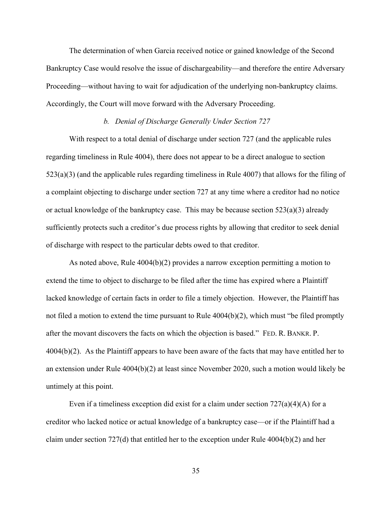The determination of when Garcia received notice or gained knowledge of the Second Bankruptcy Case would resolve the issue of dischargeability—and therefore the entire Adversary Proceeding—without having to wait for adjudication of the underlying non-bankruptcy claims. Accordingly, the Court will move forward with the Adversary Proceeding.

#### *b. Denial of Discharge Generally Under Section 727*

With respect to a total denial of discharge under section 727 (and the applicable rules regarding timeliness in Rule 4004), there does not appear to be a direct analogue to section 523(a)(3) (and the applicable rules regarding timeliness in Rule 4007) that allows for the filing of a complaint objecting to discharge under section 727 at any time where a creditor had no notice or actual knowledge of the bankruptcy case. This may be because section  $523(a)(3)$  already sufficiently protects such a creditor's due process rights by allowing that creditor to seek denial of discharge with respect to the particular debts owed to that creditor.

As noted above, Rule  $4004(b)(2)$  provides a narrow exception permitting a motion to extend the time to object to discharge to be filed after the time has expired where a Plaintiff lacked knowledge of certain facts in order to file a timely objection. However, the Plaintiff has not filed a motion to extend the time pursuant to Rule 4004(b)(2), which must "be filed promptly after the movant discovers the facts on which the objection is based." FED. R. BANKR. P. 4004(b)(2). As the Plaintiff appears to have been aware of the facts that may have entitled her to an extension under Rule 4004(b)(2) at least since November 2020, such a motion would likely be untimely at this point.

Even if a timeliness exception did exist for a claim under section  $727(a)(4)(A)$  for a creditor who lacked notice or actual knowledge of a bankruptcy case—or if the Plaintiff had a claim under section 727(d) that entitled her to the exception under Rule  $4004(b)(2)$  and her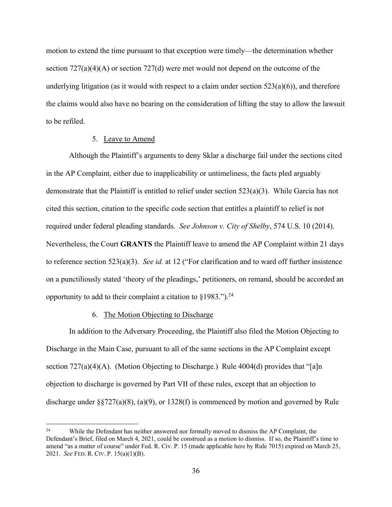motion to extend the time pursuant to that exception were timely—the determination whether section 727(a)(4)(A) or section 727(d) were met would not depend on the outcome of the underlying litigation (as it would with respect to a claim under section  $523(a)(6)$ ), and therefore the claims would also have no bearing on the consideration of lifting the stay to allow the lawsuit to be refiled.

#### 5. Leave to Amend

Although the Plaintiff's arguments to deny Sklar a discharge fail under the sections cited in the AP Complaint, either due to inapplicability or untimeliness, the facts pled arguably demonstrate that the Plaintiff is entitled to relief under section 523(a)(3). While Garcia has not cited this section, citation to the specific code section that entitles a plaintiff to relief is not required under federal pleading standards. *See Johnson v. City of Shelby*, 574 U.S. 10 (2014). Nevertheless, the Court **GRANTS** the Plaintiff leave to amend the AP Complaint within 21 days to reference section 523(a)(3). *See id.* at 12 ("For clarification and to ward off further insistence on a punctiliously stated 'theory of the pleadings,' petitioners, on remand, should be accorded an opportunity to add to their complaint a citation to  $\S 1983$ .").<sup>24</sup>

#### 6. The Motion Objecting to Discharge

In addition to the Adversary Proceeding, the Plaintiff also filed the Motion Objecting to Discharge in the Main Case, pursuant to all of the same sections in the AP Complaint except section  $727(a)(4)(A)$ . (Motion Objecting to Discharge.) Rule 4004(d) provides that "[a]n objection to discharge is governed by Part VII of these rules, except that an objection to discharge under §§727(a)(8), (a)(9), or 1328(f) is commenced by motion and governed by Rule

<sup>&</sup>lt;sup>24</sup> While the Defendant has neither answered nor formally moved to dismiss the AP Complaint, the Defendant's Brief, filed on March 4, 2021, could be construed as a motion to dismiss. If so, the Plaintiff's time to amend "as a matter of course" under Fed. R. Civ. P. 15 (made applicable here by Rule 7015) expired on March 25, 2021. *See* FED. R. CIV. P. 15(a)(1)(B).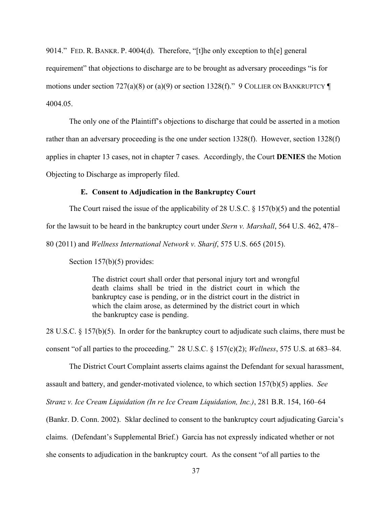9014." FED. R. BANKR. P. 4004(d). Therefore, "[t]he only exception to th[e] general requirement" that objections to discharge are to be brought as adversary proceedings "is for motions under section 727(a)(8) or (a)(9) or section 1328(f)." 9 COLLIER ON BANKRUPTCY  $\P$ 4004.05.

The only one of the Plaintiff's objections to discharge that could be asserted in a motion rather than an adversary proceeding is the one under section 1328(f). However, section 1328(f) applies in chapter 13 cases, not in chapter 7 cases. Accordingly, the Court **DENIES** the Motion Objecting to Discharge as improperly filed.

#### **E. Consent to Adjudication in the Bankruptcy Court**

The Court raised the issue of the applicability of 28 U.S.C. § 157(b)(5) and the potential for the lawsuit to be heard in the bankruptcy court under *Stern v. Marshall*, 564 U.S. 462, 478– 80 (2011) and *Wellness International Network v. Sharif*, 575 U.S. 665 (2015).

Section 157(b)(5) provides:

The district court shall order that personal injury tort and wrongful death claims shall be tried in the district court in which the bankruptcy case is pending, or in the district court in the district in which the claim arose, as determined by the district court in which the bankruptcy case is pending.

28 U.S.C. § 157(b)(5). In order for the bankruptcy court to adjudicate such claims, there must be consent "of all parties to the proceeding." 28 U.S.C. § 157(c)(2); *Wellness*, 575 U.S. at 683–84.

The District Court Complaint asserts claims against the Defendant for sexual harassment, assault and battery, and gender-motivated violence, to which section 157(b)(5) applies. *See Stranz v. Ice Cream Liquidation (In re Ice Cream Liquidation, Inc.)*, 281 B.R. 154, 160–64 (Bankr. D. Conn. 2002). Sklar declined to consent to the bankruptcy court adjudicating Garcia's claims. (Defendant's Supplemental Brief.) Garcia has not expressly indicated whether or not she consents to adjudication in the bankruptcy court. As the consent "of all parties to the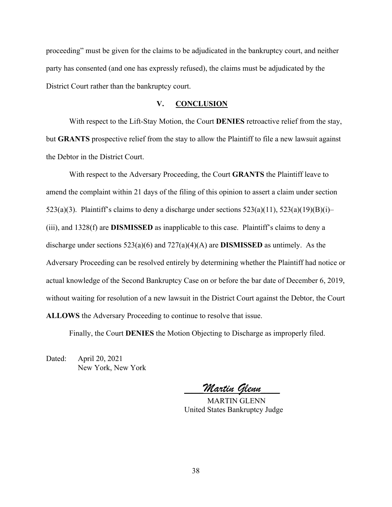proceeding" must be given for the claims to be adjudicated in the bankruptcy court, and neither party has consented (and one has expressly refused), the claims must be adjudicated by the District Court rather than the bankruptcy court.

#### **V. CONCLUSION**

With respect to the Lift-Stay Motion, the Court **DENIES** retroactive relief from the stay, but **GRANTS** prospective relief from the stay to allow the Plaintiff to file a new lawsuit against the Debtor in the District Court.

With respect to the Adversary Proceeding, the Court **GRANTS** the Plaintiff leave to amend the complaint within 21 days of the filing of this opinion to assert a claim under section 523(a)(3). Plaintiff's claims to deny a discharge under sections  $523(a)(11)$ ,  $523(a)(19)(B)(i)$ – (iii), and 1328(f) are **DISMISSED** as inapplicable to this case. Plaintiff's claims to deny a discharge under sections 523(a)(6) and 727(a)(4)(A) are **DISMISSED** as untimely. As the Adversary Proceeding can be resolved entirely by determining whether the Plaintiff had notice or actual knowledge of the Second Bankruptcy Case on or before the bar date of December 6, 2019, without waiting for resolution of a new lawsuit in the District Court against the Debtor, the Court **ALLOWS** the Adversary Proceeding to continue to resolve that issue.

Finally, the Court **DENIES** the Motion Objecting to Discharge as improperly filed.

Dated: April 20, 2021 New York, New York

**\_\_\_\_\_***Martin Glenn***\_\_\_\_\_** 

 MARTIN GLENN United States Bankruptcy Judge